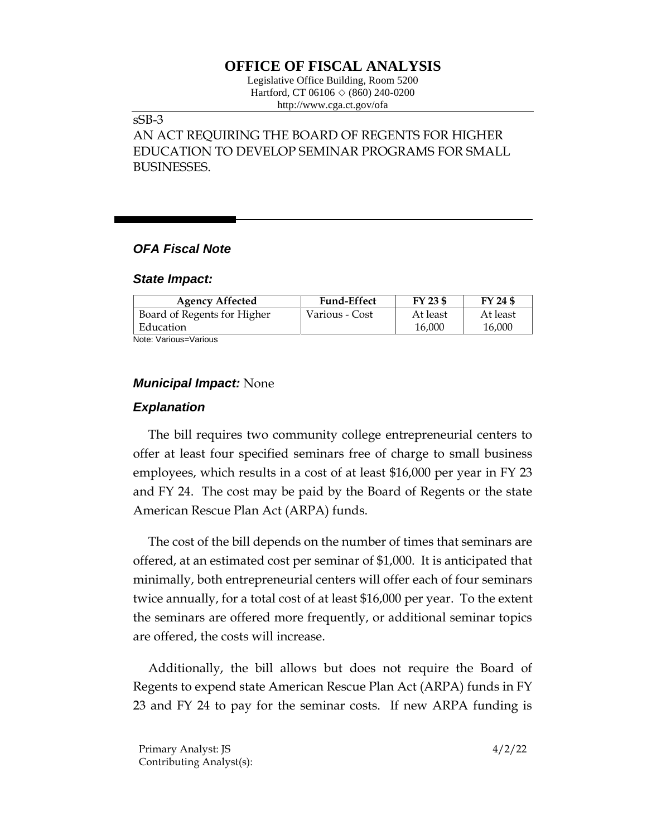# **OFFICE OF FISCAL ANALYSIS**

Legislative Office Building, Room 5200 Hartford, CT 06106  $\Diamond$  (860) 240-0200 http://www.cga.ct.gov/ofa

### sSB-3

AN ACT REQUIRING THE BOARD OF REGENTS FOR HIGHER EDUCATION TO DEVELOP SEMINAR PROGRAMS FOR SMALL BUSINESSES.

## *OFA Fiscal Note*

#### *State Impact:*

| <b>Agency Affected</b>      | <b>Fund-Effect</b> | FY 23 \$ | FY 24 \$ |
|-----------------------------|--------------------|----------|----------|
| Board of Regents for Higher | Various - Cost     | At least | At least |
| Education                   |                    | 16,000   | 16,000   |
| Alexander Medicine Medicine |                    |          |          |

Note: Various=Various

# *Municipal Impact:* None

### *Explanation*

The bill requires two community college entrepreneurial centers to offer at least four specified seminars free of charge to small business employees, which results in a cost of at least \$16,000 per year in FY 23 and FY 24. The cost may be paid by the Board of Regents or the state American Rescue Plan Act (ARPA) funds.

The cost of the bill depends on the number of times that seminars are offered, at an estimated cost per seminar of \$1,000. It is anticipated that minimally, both entrepreneurial centers will offer each of four seminars twice annually, for a total cost of at least \$16,000 per year. To the extent the seminars are offered more frequently, or additional seminar topics are offered, the costs will increase.

Additionally, the bill allows but does not require the Board of Regents to expend state American Rescue Plan Act (ARPA) funds in FY 23 and FY 24 to pay for the seminar costs. If new ARPA funding is